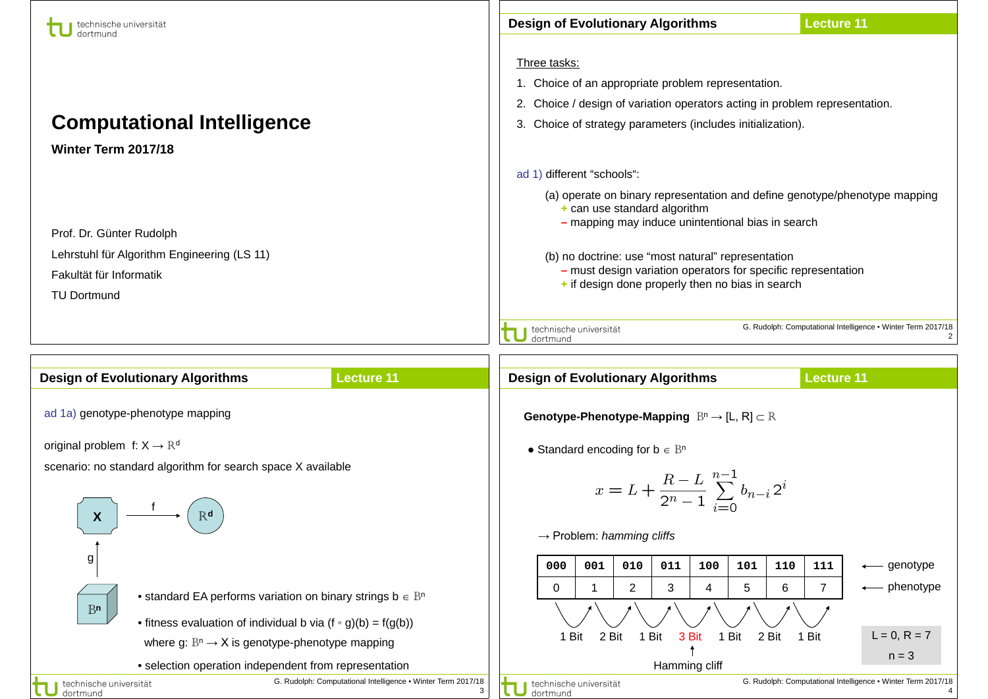| technische universität                                                                                                                                                                                                                                                               | <b>Design of Evolutionary Algorithms</b><br><b>Lecture 11</b>                                                                                                                                                                                                                                                                                                              |
|--------------------------------------------------------------------------------------------------------------------------------------------------------------------------------------------------------------------------------------------------------------------------------------|----------------------------------------------------------------------------------------------------------------------------------------------------------------------------------------------------------------------------------------------------------------------------------------------------------------------------------------------------------------------------|
| <b>Computational Intelligence</b><br>Winter Term 2017/18                                                                                                                                                                                                                             | Three tasks:<br>1. Choice of an appropriate problem representation.<br>2. Choice / design of variation operators acting in problem representation.<br>3. Choice of strategy parameters (includes initialization).                                                                                                                                                          |
| Prof. Dr. Günter Rudolph<br>Lehrstuhl für Algorithm Engineering (LS 11)<br>Fakultät für Informatik<br><b>TU Dortmund</b>                                                                                                                                                             | ad 1) different "schools":<br>(a) operate on binary representation and define genotype/phenotype mapping<br>$+$ can use standard algorithm<br>- mapping may induce unintentional bias in search<br>(b) no doctrine: use "most natural" representation<br>- must design variation operators for specific representation<br>+ if design done properly then no bias in search |
|                                                                                                                                                                                                                                                                                      | G. Rudolph: Computational Intelligence . Winter Term 2017/18<br>technische universität<br>dortmund                                                                                                                                                                                                                                                                         |
| <b>Lecture 11</b><br><b>Design of Evolutionary Algorithms</b>                                                                                                                                                                                                                        | <b>Lecture 11</b><br><b>Design of Evolutionary Algorithms</b>                                                                                                                                                                                                                                                                                                              |
| ad 1a) genotype-phenotype mapping                                                                                                                                                                                                                                                    | <b>Genotype-Phenotype-Mapping</b> $B^n \to [L, R] \subset R$                                                                                                                                                                                                                                                                                                               |
| original problem f: $X \rightarrow \mathbb{R}^d$<br>scenario: no standard algorithm for search space X available<br>R <sub>d</sub><br>$\mathsf{X}$                                                                                                                                   | • Standard encoding for $b \in B^n$<br>$x = L + \frac{R-L}{2^n-1} \sum_{i=0}^{n-1} b_{n-i} 2^i$<br>$\rightarrow$ Problem: hamming cliffs                                                                                                                                                                                                                                   |
| g<br>• standard EA performs variation on binary strings $b \in B^n$<br>B <sub>n</sub><br>• fitness evaluation of individual b via $(f \circ g)(b) = f(g(b))$<br>where g: $\mathbb{B}^n \to X$ is genotype-phenotype mapping<br>• selection operation independent from representation | 001<br>010<br>011<br>100<br>101<br>110<br>000<br>111<br>← genotype<br>$\overline{7}$<br>← phenotype<br>0<br>$\overline{c}$<br>3<br>5<br>6<br>-1<br>4<br>$L = 0, R = 7$<br>1 Bit<br>2 Bit<br>1 Bit<br>3 Bit<br>1 Bit<br>2 Bit<br>1 Bit<br>$n = 3$<br>Hamming cliff                                                                                                          |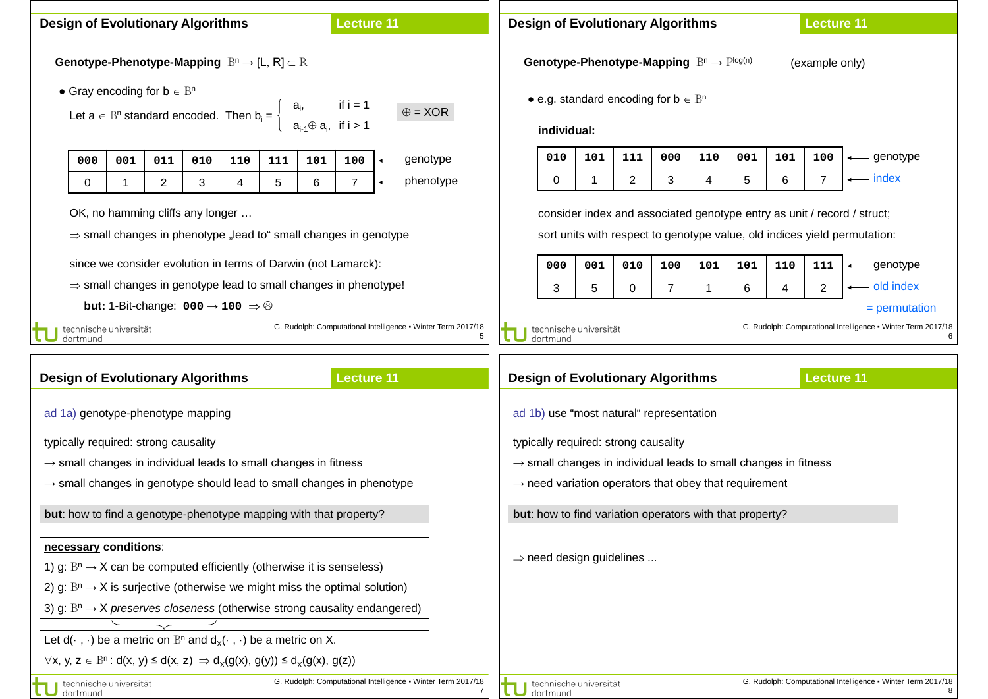| <b>Lecture 11</b><br><b>Design of Evolutionary Algorithms</b>                                                    |                                                                                                          |     |                |                                                                             | <b>Lecture 11</b><br><b>Design of Evolutionary Algorithms</b>                                                                         |                                                                                                                                                      |                                                                             |                |                                                                                       |                                                              |                                          |     |                |                |             |     |                |                   |                                                                                 |
|------------------------------------------------------------------------------------------------------------------|----------------------------------------------------------------------------------------------------------|-----|----------------|-----------------------------------------------------------------------------|---------------------------------------------------------------------------------------------------------------------------------------|------------------------------------------------------------------------------------------------------------------------------------------------------|-----------------------------------------------------------------------------|----------------|---------------------------------------------------------------------------------------|--------------------------------------------------------------|------------------------------------------|-----|----------------|----------------|-------------|-----|----------------|-------------------|---------------------------------------------------------------------------------|
| Genotype-Phenotype-Mapping $B^n \to [L, R] \subset R$<br>• Gray encoding for $b \in B^n$                         |                                                                                                          |     |                |                                                                             | Genotype-Phenotype-Mapping $B^n \rightarrow P^{\text{log}(n)}$<br>(example only)<br>• e.g. standard encoding for $b \in \mathbb{B}^n$ |                                                                                                                                                      |                                                                             |                |                                                                                       |                                                              |                                          |     |                |                |             |     |                |                   |                                                                                 |
|                                                                                                                  |                                                                                                          |     |                | Let $a \in B^n$ standard encoded. Then $b_i = \frac{1}{2}$                  |                                                                                                                                       |                                                                                                                                                      | $a_{i}$<br>$a_{i-1} \oplus a_i$ , if i > 1                                  | if i $= 1$     |                                                                                       | $\oplus$ = XOR                                               | individual:                              |     |                |                |             |     |                |                   |                                                                                 |
|                                                                                                                  | 000                                                                                                      | 001 | 011            | 010                                                                         | 110                                                                                                                                   | 111                                                                                                                                                  | 101                                                                         | 100            |                                                                                       | genotype                                                     | 010                                      | 101 | 111            | 000            | 110         | 001 | 101            | 100               | ← genotype<br>← index                                                           |
|                                                                                                                  | 0                                                                                                        |     | $\overline{2}$ | 3                                                                           | $\overline{4}$                                                                                                                        | 5                                                                                                                                                    | 6                                                                           | $\overline{7}$ |                                                                                       | phenotype                                                    | 0                                        | 1   | $\overline{2}$ | 3              | 4           | 5   | 6              |                   |                                                                                 |
| OK, no hamming cliffs any longer<br>$\Rightarrow$ small changes in phenotype "lead to" small changes in genotype |                                                                                                          |     |                |                                                                             |                                                                                                                                       | consider index and associated genotype entry as unit / record / struct;<br>sort units with respect to genotype value, old indices yield permutation: |                                                                             |                |                                                                                       |                                                              |                                          |     |                |                |             |     |                |                   |                                                                                 |
|                                                                                                                  |                                                                                                          |     |                | since we consider evolution in terms of Darwin (not Lamarck):               |                                                                                                                                       |                                                                                                                                                      |                                                                             |                |                                                                                       |                                                              | 000                                      | 001 | 010            | 100            | 101         | 101 | 110            | 111               | ← genotype                                                                      |
|                                                                                                                  |                                                                                                          |     |                | $\Rightarrow$ small changes in genotype lead to small changes in phenotype! |                                                                                                                                       |                                                                                                                                                      |                                                                             |                |                                                                                       |                                                              | $\mathbf{3}$                             | 5   | 0              | $\overline{7}$ | $\mathbf 1$ | 6   | $\overline{4}$ | $\overline{2}$    | <u>-</u> old index                                                              |
|                                                                                                                  |                                                                                                          |     |                | <b>but:</b> 1-Bit-change: $000 \rightarrow 100 \Rightarrow \odot$           |                                                                                                                                       |                                                                                                                                                      |                                                                             |                |                                                                                       | G. Rudolph: Computational Intelligence . Winter Term 2017/18 |                                          |     |                |                |             |     |                |                   | $=$ permutation<br>G. Rudolph: Computational Intelligence . Winter Term 2017/18 |
|                                                                                                                  | technische universität<br>dortmund                                                                       |     |                |                                                                             |                                                                                                                                       |                                                                                                                                                      |                                                                             |                |                                                                                       |                                                              | technische universität<br>dortmund       |     |                |                |             |     |                |                   |                                                                                 |
|                                                                                                                  | <b>Design of Evolutionary Algorithms</b>                                                                 |     |                |                                                                             |                                                                                                                                       |                                                                                                                                                      |                                                                             |                | <b>Lecture 11</b>                                                                     |                                                              | <b>Design of Evolutionary Algorithms</b> |     |                |                |             |     |                | <b>Lecture 11</b> |                                                                                 |
|                                                                                                                  | ad 1a) genotype-phenotype mapping                                                                        |     |                |                                                                             |                                                                                                                                       |                                                                                                                                                      |                                                                             |                |                                                                                       |                                                              | ad 1b) use "most natural" representation |     |                |                |             |     |                |                   |                                                                                 |
| typically required: strong causality                                                                             |                                                                                                          |     |                |                                                                             |                                                                                                                                       | typically required: strong causality                                                                                                                 |                                                                             |                |                                                                                       |                                                              |                                          |     |                |                |             |     |                |                   |                                                                                 |
|                                                                                                                  | $\rightarrow$ small changes in individual leads to small changes in fitness                              |     |                |                                                                             |                                                                                                                                       |                                                                                                                                                      | $\rightarrow$ small changes in individual leads to small changes in fitness |                |                                                                                       |                                                              |                                          |     |                |                |             |     |                |                   |                                                                                 |
| $\rightarrow$ small changes in genotype should lead to small changes in phenotype                                |                                                                                                          |     |                |                                                                             |                                                                                                                                       | $\rightarrow$ need variation operators that obey that requirement                                                                                    |                                                                             |                |                                                                                       |                                                              |                                          |     |                |                |             |     |                |                   |                                                                                 |
| but: how to find a genotype-phenotype mapping with that property?                                                |                                                                                                          |     |                |                                                                             |                                                                                                                                       | but: how to find variation operators with that property?                                                                                             |                                                                             |                |                                                                                       |                                                              |                                          |     |                |                |             |     |                |                   |                                                                                 |
|                                                                                                                  | necessary conditions:                                                                                    |     |                |                                                                             |                                                                                                                                       |                                                                                                                                                      |                                                                             |                |                                                                                       |                                                              | $\Rightarrow$ need design guidelines     |     |                |                |             |     |                |                   |                                                                                 |
|                                                                                                                  | 1) g: $B^n \rightarrow X$ can be computed efficiently (otherwise it is senseless)                        |     |                |                                                                             |                                                                                                                                       |                                                                                                                                                      |                                                                             |                |                                                                                       |                                                              |                                          |     |                |                |             |     |                |                   |                                                                                 |
|                                                                                                                  | 2) g: $B^n \rightarrow X$ is surjective (otherwise we might miss the optimal solution)                   |     |                |                                                                             |                                                                                                                                       |                                                                                                                                                      |                                                                             |                |                                                                                       |                                                              |                                          |     |                |                |             |     |                |                   |                                                                                 |
|                                                                                                                  |                                                                                                          |     |                |                                                                             |                                                                                                                                       |                                                                                                                                                      |                                                                             |                | 3) g: $B^n \rightarrow X$ preserves closeness (otherwise strong causality endangered) |                                                              |                                          |     |                |                |             |     |                |                   |                                                                                 |
|                                                                                                                  | Let $d(\cdot, \cdot)$ be a metric on $B^n$ and $d_x(\cdot, \cdot)$ be a metric on X.                     |     |                |                                                                             |                                                                                                                                       |                                                                                                                                                      |                                                                             |                |                                                                                       |                                                              |                                          |     |                |                |             |     |                |                   |                                                                                 |
|                                                                                                                  | $\forall x, y, z \in \mathbb{B}^n : d(x, y) \le d(x, z) \Rightarrow d_X(g(x), g(y)) \le d_X(g(x), g(z))$ |     |                |                                                                             |                                                                                                                                       |                                                                                                                                                      |                                                                             |                |                                                                                       |                                                              |                                          |     |                |                |             |     |                |                   |                                                                                 |
|                                                                                                                  | technische universität                                                                                   |     |                |                                                                             |                                                                                                                                       |                                                                                                                                                      |                                                                             |                |                                                                                       | G. Rudolph: Computational Intelligence . Winter Term 2017/18 | technische universität                   |     |                |                |             |     |                |                   | G. Rudolph: Computational Intelligence . Winter Term 2017/18                    |

 $\overline{\phantom{a}}$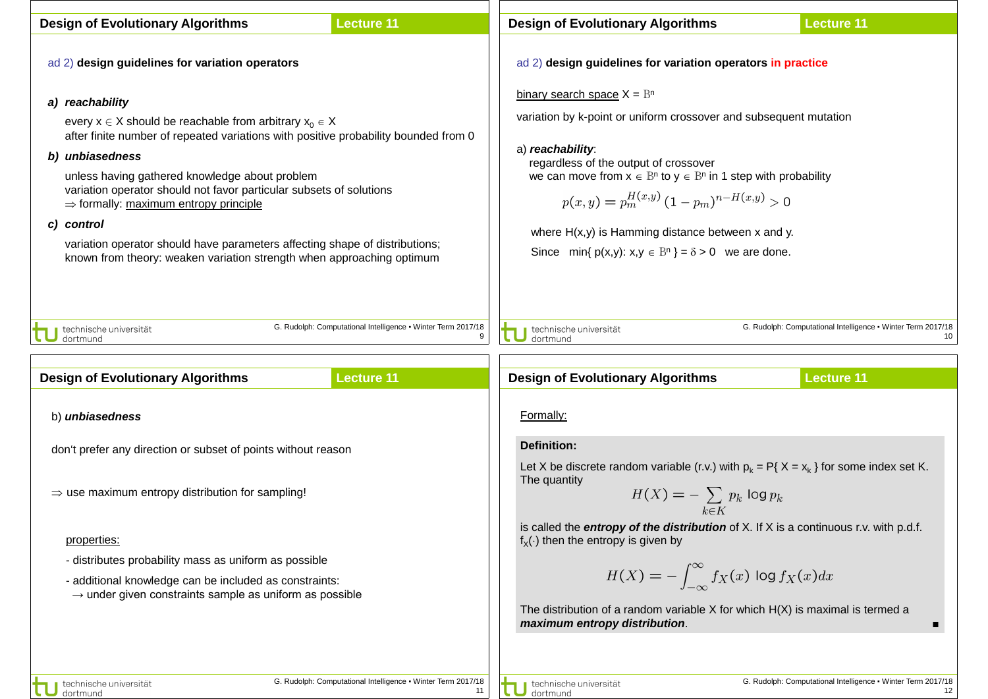| <b>Design of Evolutionary Algorithms</b>                                                                                                                                                                                                                                                                                                                                                                                                                                                                                                        | <b>Lecture 11</b>                                                                 |                                    | <b>Design of Evolutionary Algorithms</b>                                                                                                                                                                                                                                                                                                                                                                                        | <b>Lecture 11</b>                                                                       |
|-------------------------------------------------------------------------------------------------------------------------------------------------------------------------------------------------------------------------------------------------------------------------------------------------------------------------------------------------------------------------------------------------------------------------------------------------------------------------------------------------------------------------------------------------|-----------------------------------------------------------------------------------|------------------------------------|---------------------------------------------------------------------------------------------------------------------------------------------------------------------------------------------------------------------------------------------------------------------------------------------------------------------------------------------------------------------------------------------------------------------------------|-----------------------------------------------------------------------------------------|
| ad 2) design guidelines for variation operators                                                                                                                                                                                                                                                                                                                                                                                                                                                                                                 |                                                                                   |                                    | ad 2) design guidelines for variation operators in practice                                                                                                                                                                                                                                                                                                                                                                     |                                                                                         |
| a) reachability<br>every $x \in X$ should be reachable from arbitrary $x_0 \in X$<br>after finite number of repeated variations with positive probability bounded from 0<br>b) unbiasedness<br>unless having gathered knowledge about problem<br>variation operator should not favor particular subsets of solutions<br>$\Rightarrow$ formally: maximum entropy principle<br>c) control<br>variation operator should have parameters affecting shape of distributions;<br>known from theory: weaken variation strength when approaching optimum |                                                                                   | a) reachability.                   | binary search space $X = B^n$<br>variation by k-point or uniform crossover and subsequent mutation<br>regardless of the output of crossover<br>we can move from $x \in \mathbb{B}^n$ to $y \in \mathbb{B}^n$ in 1 step with probability<br>$p(x,y) = p_m^{H(x,y)} (1-p_m)^{n-H(x,y)} > 0$<br>where $H(x,y)$ is Hamming distance between $x$ and $y$ .<br>Since $\min\{p(x,y): x,y \in \mathbb{B}^n\} = \delta > 0$ we are done. |                                                                                         |
| technische universität<br>dortmund<br><b>Design of Evolutionary Algorithms</b>                                                                                                                                                                                                                                                                                                                                                                                                                                                                  | G. Rudolph: Computational Intelligence . Winter Term 2017/18<br><b>Lecture 11</b> | technische universität<br>dortmund | <b>Design of Evolutionary Algorithms</b>                                                                                                                                                                                                                                                                                                                                                                                        | G. Rudolph: Computational Intelligence . Winter Term 2017/18<br>10<br><b>Lecture 11</b> |
| b) <i>unbiasedness</i>                                                                                                                                                                                                                                                                                                                                                                                                                                                                                                                          |                                                                                   | Formally:                          |                                                                                                                                                                                                                                                                                                                                                                                                                                 |                                                                                         |
| don't prefer any direction or subset of points without reason                                                                                                                                                                                                                                                                                                                                                                                                                                                                                   |                                                                                   | <b>Definition:</b>                 | Let X be discrete random variable (r.v.) with $p_k = P\{X = x_k\}$ for some index set K.                                                                                                                                                                                                                                                                                                                                        |                                                                                         |
| $\Rightarrow$ use maximum entropy distribution for sampling!                                                                                                                                                                                                                                                                                                                                                                                                                                                                                    |                                                                                   | The quantity                       | $H(X) = -\sum_{k \in \mathcal{N}} p_k \log p_k$                                                                                                                                                                                                                                                                                                                                                                                 |                                                                                         |
| properties:<br>- distributes probability mass as uniform as possible<br>- additional knowledge can be included as constraints:<br>$\rightarrow$ under given constraints sample as uniform as possible                                                                                                                                                                                                                                                                                                                                           |                                                                                   |                                    | is called the <b>entropy of the distribution</b> of $X$ . If $X$ is a continuous r.v. with p.d.f.<br>$f_{x}(\cdot)$ then the entropy is given by<br>$H(X) = -\int_{-\infty}^{\infty} f_X(x) \log f_X(x) dx$<br>The distribution of a random variable $X$ for which $H(X)$ is maximal is termed a<br>maximum entropy distribution.                                                                                               | п                                                                                       |
| technische universität<br>dortmund                                                                                                                                                                                                                                                                                                                                                                                                                                                                                                              | G. Rudolph: Computational Intelligence • Winter Term 2017/18<br>11                | dortmund                           | technische universität                                                                                                                                                                                                                                                                                                                                                                                                          | G. Rudolph: Computational Intelligence . Winter Term 2017/18<br>12                      |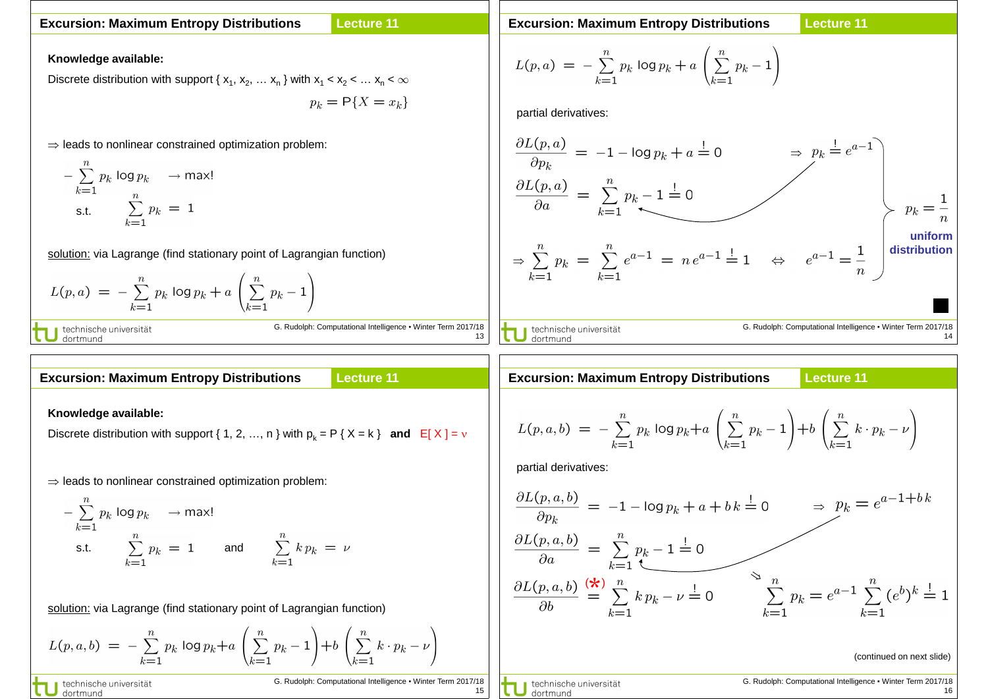#### **Lecture 11 Excursion: Maximum Entropy Distributions**

**Excursion: Maximum Entropy Distributions**

**Lecture 11**

**Knowledge available:**

Discrete distribution with support { $x_1, x_2, \ldots x_n$ } with  $x_1 < x_2 < \ldots x_n < \infty$ 

$$
p_k = \mathsf{P}\{X = x_k\}
$$

⇒ leads to nonlinear constrained optimization problem:

$$
-\sum_{k=1}^{n} p_k \log p_k \longrightarrow \max!
$$
  
s.t. 
$$
\sum_{k=1}^{n} p_k = 1
$$

solution: via Lagrange (find stationary point of Lagrangian function)

$$
L(p, a) = -\sum_{k=1}^{n} p_k \log p_k + a \left( \sum_{k=1}^{n} p_k - 1 \right)
$$

Computational Intelligence · Winter Term 2017/18 13

#### **Lecture 11 Excursion: Maximum Entropy Distributions**

### **Knowledge available:**

dortmund

Discrete distribution with support { 1, 2, …, n } with  $p_k = P$  {  $X = k$  } **and**  $E[X] = v$ 

⇒ leads to nonlinear constrained optimization problem:

$$
-\sum_{k=1}^{n} p_k \log p_k \longrightarrow \max!
$$
  
s.t. 
$$
\sum_{k=1}^{n} p_k = 1 \quad \text{and} \quad \sum_{k=1}^{n} k p_k = \nu
$$

solution: via Lagrange (find stationary point of Lagrangian function)

$$
L(p, a, b) = -\sum_{k=1}^{n} p_k \log p_k + a \left( \sum_{k=1}^{n} p_k - 1 \right) + b \left( \sum_{k=1}^{n} k \cdot p_k - \nu \right)
$$

technische universität dortmund

G. Rudolph: Computational Intelligence ▪ Winter Term 2017/18 15

$$
L(p, a) = -\sum_{k=1}^{n} p_k \log p_k + a \left( \sum_{k=1}^{n} p_k - 1 \right)
$$
  
partial derivatives:

$$
\frac{\partial L(p, a)}{\partial p_k} = -1 - \log p_k + a = 0 \qquad \Rightarrow p_k = e^{a-1}
$$
\n
$$
\frac{\partial L(p, a)}{\partial a} = \sum_{k=1}^n p_k - 1 = 0 \qquad \Rightarrow p_k = \frac{1}{n}
$$
\n
$$
\Rightarrow \sum_{k=1}^n p_k = \sum_{k=1}^n e^{a-1} = n e^{a-1} = 1 \qquad \Leftrightarrow e^{a-1} = \frac{1}{n}
$$
\nuniform distribution  
\n
$$
\frac{\text{uniform distribution}}{\text{distribution}}
$$
\nG. Rudolph: Computational Intelligence - Winter Term 2017/18  
\n14

**Excursion: Maximum Entropy Distributions**

## **Lecture 11**

$$
L(p, a, b) = -\sum_{k=1}^{n} p_k \log p_k + a \left( \sum_{k=1}^{n} p_k - 1 \right) + b \left( \sum_{k=1}^{n} k \cdot p_k - \nu \right)
$$

partial derivatives:

$$
\frac{\partial L(p, a, b)}{\partial p_k} = -1 - \log p_k + a + bk \stackrel{!}{=} 0 \qquad \Rightarrow p_k = e^{a-1+bk}
$$
\n
$$
\frac{\partial L(p, a, b)}{\partial a} = \sum_{k=1}^n p_k - 1 \stackrel{!}{=} 0
$$
\n
$$
\frac{\partial L(p, a, b)}{\partial b} \stackrel{\text{(*)}}{=} \sum_{k=1}^n k p_k - \nu \stackrel{!}{=} 0 \qquad \sum_{k=1}^n p_k = e^{a-1} \sum_{k=1}^n (e^b)^k \stackrel{!}{=} 1
$$
\n(continued on next slide)

technische universität dortmund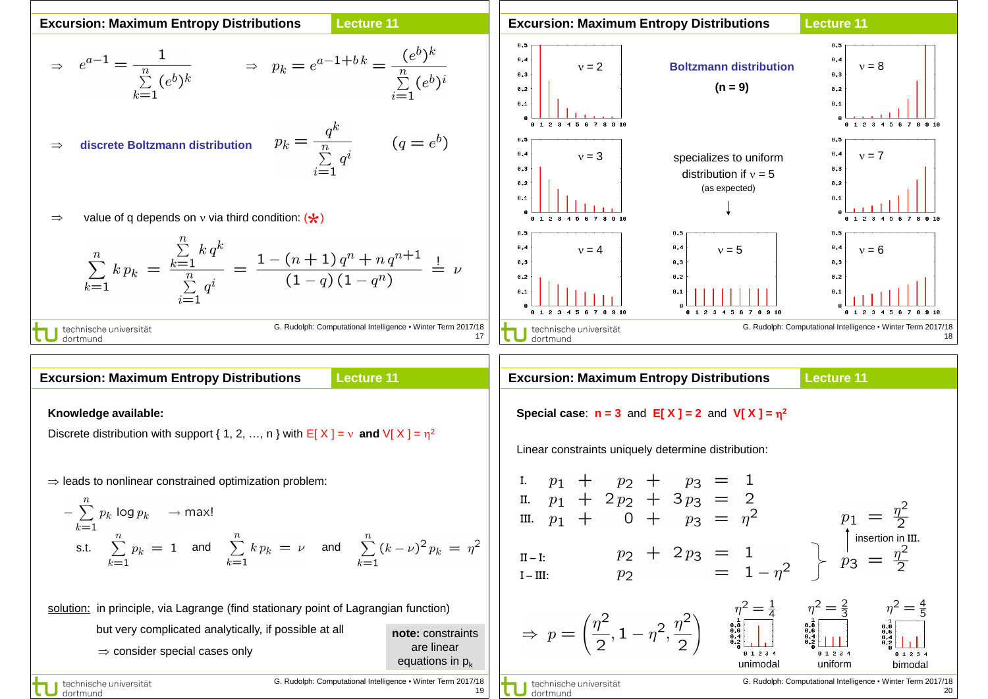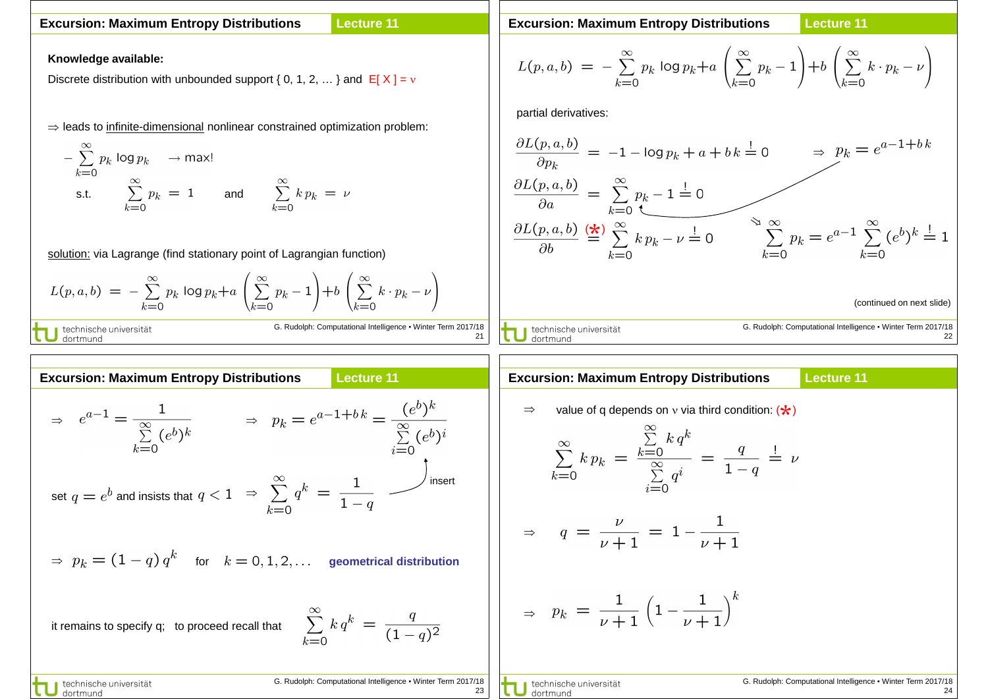### **Lecture 11 Excursion: Maximum Entropy Distributions**

# **Knowledge available:**

Discrete distribution with unbounded support { 0, 1, 2, ... } and  $E[X] = v$ 

⇒ leads to infinite-dimensional nonlinear constrained optimization problem:

$$
\sum_{k=0}^{\infty} p_k \log p_k \longrightarrow \max!
$$
  
s.t. 
$$
\sum_{k=0}^{\infty} p_k = 1 \quad \text{and} \quad \sum_{k=0}^{\infty} k p_k = n
$$

solution: via Lagrange (find stationary point of Lagrangian function)

$$
L(p, a, b) = -\sum_{k=0}^{\infty} p_k \log p_k + a \left( \sum_{k=0}^{\infty} p_k - 1 \right) + b \left( \sum_{k=0}^{\infty} k \cdot p_k - \nu \right)
$$
  
1 technische universität  
G. Rudolph: Computational Intelligence • Winter Term

**U** dortmund

m 2017/18 21 **Excursion: Maximum Entropy Distributions**

**Lecture 11**

$$
L(p, a, b) = -\sum_{k=0}^{\infty} p_k \log p_k + a \left( \sum_{k=0}^{\infty} p_k - 1 \right) + b \left( \sum_{k=0}^{\infty} k \cdot p_k - \nu \right)
$$

partial derivatives:

G. Rudolph: Computational Intelligence ▪ Winter Term 2017/18 22 ⇒ (continued on next slide) \* ( )

| Excursion: Maximum Entropy Distributions                                                        | Lecture 11                                                                   |                     |
|-------------------------------------------------------------------------------------------------|------------------------------------------------------------------------------|---------------------|
| $\Rightarrow e^{a-1} = \frac{1}{\sum_{k=0}^{\infty} (e^b)^k}$                                   | $\Rightarrow p_k = e^{a-1+bk} = \frac{(e^b)^k}{\sum_{i=0}^{\infty} (e^b)^i}$ | $\Rightarrow$ value |
| $\text{set } q = e^b$ and insists that $q < 1$                                                  | $\Rightarrow \sum_{k=0}^{\infty} q^k = \frac{1}{1-q}$                        | insert              |
| $\Rightarrow p_k = (1-q)q^k$ for $k = 0, 1, 2, ...$ geometrical distribution                    |                                                                              |                     |
| it remains to specify q; to proceed recall that $\sum_{k=0}^{\infty} k q^k = \frac{q}{(1-q)^2}$ | $\Rightarrow p_k$                                                            |                     |
| U technique universal                                                                           | 6. Rudoph: Computational Intelligence - Winter Term 2017/18                  |                     |

|                        | <b>Excursion: Maximum Entropy Distributions</b>                                                                                                            | <b>Lecture 11</b>                                            |
|------------------------|------------------------------------------------------------------------------------------------------------------------------------------------------------|--------------------------------------------------------------|
|                        | value of q depends on v via third condition: $(\star)$                                                                                                     |                                                              |
|                        | $\sum\limits_{k=0}^{\infty} k\,p_k\,=\,\frac{\sum\limits_{k=0}^{\infty} k\,q^k}{\sum\limits_{\sum}^{\infty}\,q^i}\,=\,\frac{q}{1-q}\,\stackrel{!}{=}\,\nu$ |                                                              |
|                        | $\Rightarrow$ $q = \frac{\nu}{\nu + 1} = 1 - \frac{1}{\nu + 1}$                                                                                            |                                                              |
|                        | $\Rightarrow$ $p_k = \frac{1}{\nu + 1} \left( 1 - \frac{1}{\nu + 1} \right)^k$                                                                             |                                                              |
| technische universität |                                                                                                                                                            | G. Rudolph: Computational Intelligence . Winter Term 2017/18 |

24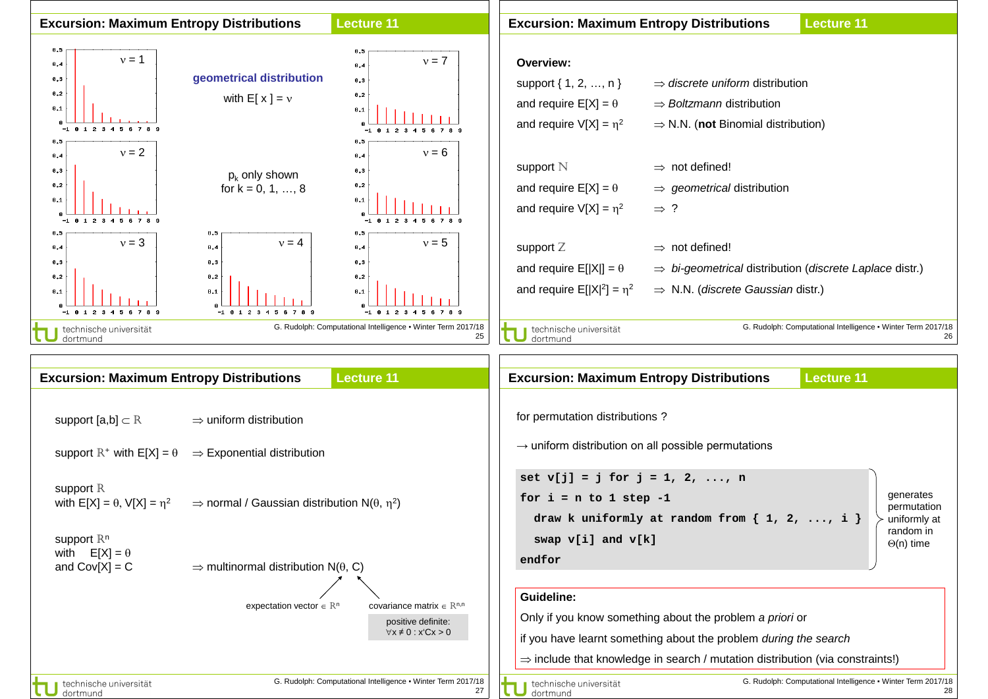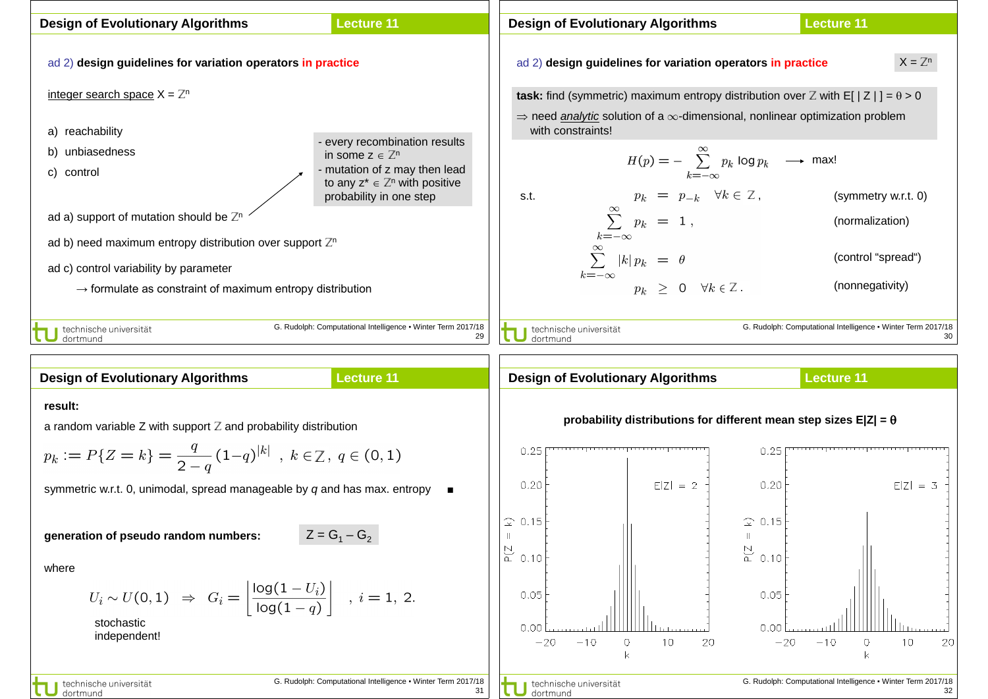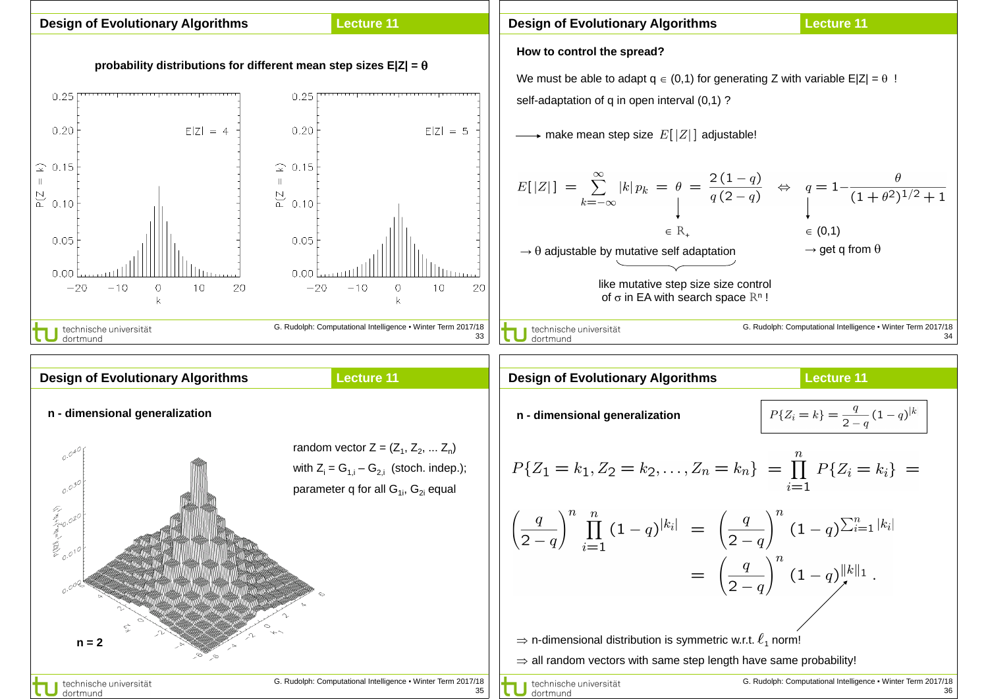